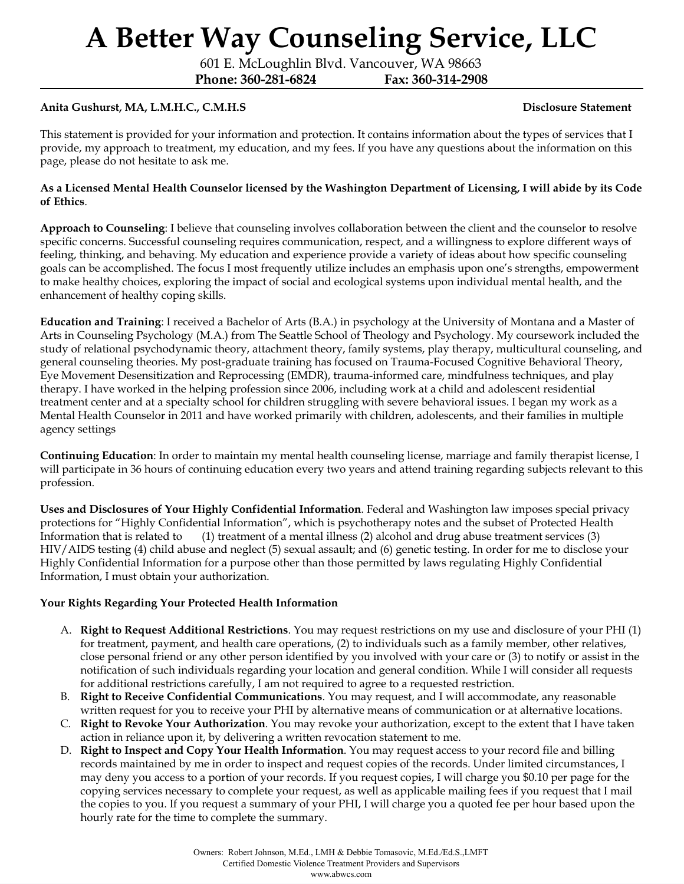601 E. McLoughlin Blvd. Vancouver, WA 98663

**Phone: 360-281-6824 Fax: 360-314-2908**

### **Anita Gushurst, MA, L.M.H.C., C.M.H.S Disclosure Statement**

This statement is provided for your information and protection. It contains information about the types of services that I provide, my approach to treatment, my education, and my fees. If you have any questions about the information on this page, please do not hesitate to ask me.

#### As a Licensed Mental Health Counselor licensed by the Washington Department of Licensing, I will abide by its Code **of Ethics**.

**Approach to Counseling**: I believe that counseling involves collaboration between the client and the counselor to resolve specific concerns. Successful counseling requires communication, respect, and a willingness to explore different ways of feeling, thinking, and behaving. My education and experience provide a variety of ideas about how specific counseling goals can be accomplished. The focus I most frequently utilize includes an emphasis upon one's strengths, empowerment to make healthy choices, exploring the impact of social and ecological systems upon individual mental health, and the enhancement of healthy coping skills.

**Education and Training**: I received a Bachelor of Arts (B.A.) in psychology at the University of Montana and a Master of Arts in Counseling Psychology (M.A.) from The Seattle School of Theology and Psychology. My coursework included the study of relational psychodynamic theory, attachment theory, family systems, play therapy, multicultural counseling, and general counseling theories. My post-graduate training has focused on Trauma-Focused Cognitive Behavioral Theory, Eye Movement Desensitization and Reprocessing (EMDR), trauma-informed care, mindfulness techniques, and play therapy. I have worked in the helping profession since 2006, including work at a child and adolescent residential treatment center and at a specialty school for children struggling with severe behavioral issues. I began my work as a Mental Health Counselor in 2011 and have worked primarily with children, adolescents, and their families in multiple agency settings

**Continuing Education**: In order to maintain my mental health counseling license, marriage and family therapist license, I will participate in 36 hours of continuing education every two years and attend training regarding subjects relevant to this profession.

**Uses and Disclosures of Your Highly Confidential Information**. Federal and Washington law imposes special privacy protections for "Highly Confidential Information", which is psychotherapy notes and the subset of Protected Health Information that is related to (1) treatment of a mental illness (2) alcohol and drug abuse treatment services (3) HIV/AIDS testing (4) child abuse and neglect (5) sexual assault; and (6) genetic testing. In order for me to disclose your Highly Confidential Information for a purpose other than those permitted by laws regulating Highly Confidential Information, I must obtain your authorization.

### **Your Rights Regarding Your Protected Health Information**

- A. **Right to Request Additional Restrictions**. You may request restrictions on my use and disclosure of your PHI (1) for treatment, payment, and health care operations, (2) to individuals such as a family member, other relatives, close personal friend or any other person identified by you involved with your care or (3) to notify or assist in the notification of such individuals regarding your location and general condition. While I will consider all requests for additional restrictions carefully, I am not required to agree to a requested restriction.
- B. **Right to Receive Confidential Communications**. You may request, and I will accommodate, any reasonable written request for you to receive your PHI by alternative means of communication or at alternative locations.
- C. **Right to Revoke Your Authorization**. You may revoke your authorization, except to the extent that I have taken action in reliance upon it, by delivering a written revocation statement to me.
- D. **Right to Inspect and Copy Your Health Information**. You may request access to your record file and billing records maintained by me in order to inspect and request copies of the records. Under limited circumstances, I may deny you access to a portion of your records. If you request copies, I will charge you \$0.10 per page for the copying services necessary to complete your request, as well as applicable mailing fees if you request that I mail the copies to you. If you request a summary of your PHI, I will charge you a quoted fee per hour based upon the hourly rate for the time to complete the summary.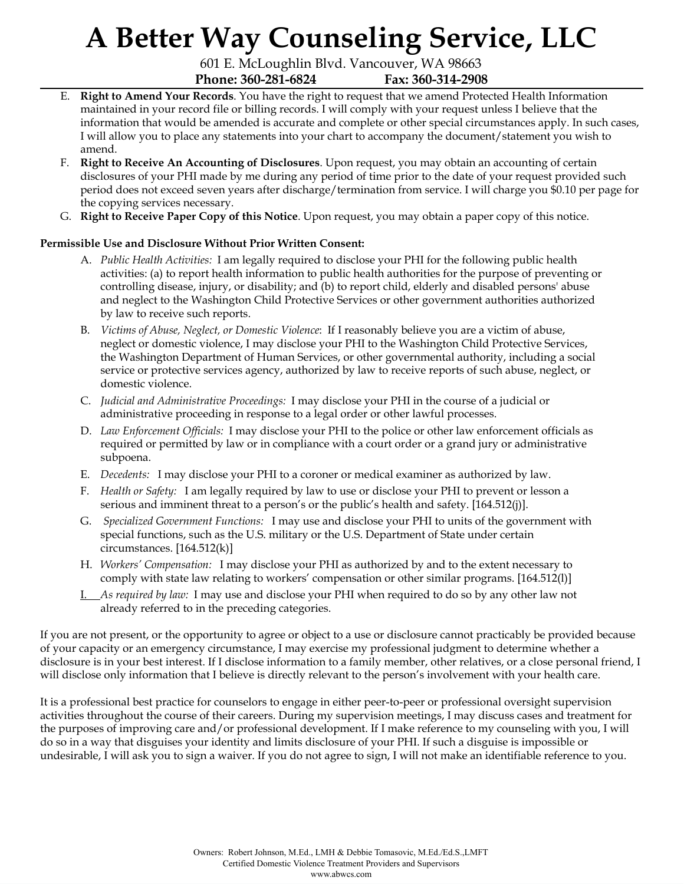601 E. McLoughlin Blvd. Vancouver, WA 98663 **Phone: 360-281-6824 Fax: 360-314-2908**

- E. **Right to Amend Your Records**. You have the right to request that we amend Protected Health Information maintained in your record file or billing records. I will comply with your request unless I believe that the information that would be amended is accurate and complete or other special circumstances apply. In such cases, I will allow you to place any statements into your chart to accompany the document/statement you wish to amend.
- F. **Right to Receive An Accounting of Disclosures**. Upon request, you may obtain an accounting of certain disclosures of your PHI made by me during any period of time prior to the date of your request provided such period does not exceed seven years after discharge/termination from service. I will charge you \$0.10 per page for the copying services necessary.
- G. **Right to Receive Paper Copy of this Notice**. Upon request, you may obtain a paper copy of this notice.

### **Permissible Use and Disclosure Without Prior Written Consent:**

- A. *Public Health Activities:* I am legally required to disclose your PHI for the following public health activities: (a) to report health information to public health authorities for the purpose of preventing or controlling disease, injury, or disability; and (b) to report child, elderly and disabled persons' abuse and neglect to the Washington Child Protective Services or other government authorities authorized by law to receive such reports.
- B. *Victims of Abuse, Neglect, or Domestic Violence*: If I reasonably believe you are a victim of abuse, neglect or domestic violence, I may disclose your PHI to the Washington Child Protective Services, the Washington Department of Human Services, or other governmental authority, including a social service or protective services agency, authorized by law to receive reports of such abuse, neglect, or domestic violence.
- C. *Judicial and Administrative Proceedings:* I may disclose your PHI in the course of a judicial or administrative proceeding in response to a legal order or other lawful processes.
- D. *Law Enforcement Of icials:* I may disclose your PHI to the police or other law enforcement officials as required or permitted by law or in compliance with a court order or a grand jury or administrative subpoena.
- E. *Decedents:* I may disclose your PHI to a coroner or medical examiner as authorized by law.
- F. *Health or Safety:* I am legally required by law to use or disclose your PHI to prevent or lesson a serious and imminent threat to a person's or the public's health and safety. [164.512(j)].
- G. *Specialized Government Functions:* I may use and disclose your PHI to units of the government with special functions, such as the U.S. military or the U.S. Department of State under certain circumstances. [164.512(k)]
- H. *Workers' Compensation:* I may disclose your PHI as authorized by and to the extent necessary to comply with state law relating to workers' compensation or other similar programs. [164.512(l)]
- I. *As required by law:* I may use and disclose your PHI when required to do so by any other law not already referred to in the preceding categories.

If you are not present, or the opportunity to agree or object to a use or disclosure cannot practicably be provided because of your capacity or an emergency circumstance, I may exercise my professional judgment to determine whether a disclosure is in your best interest. If I disclose information to a family member, other relatives, or a close personal friend, I will disclose only information that I believe is directly relevant to the person's involvement with your health care.

It is a professional best practice for counselors to engage in either peer-to-peer or professional oversight supervision activities throughout the course of their careers. During my supervision meetings, I may discuss cases and treatment for the purposes of improving care and/or professional development. If I make reference to my counseling with you, I will do so in a way that disguises your identity and limits disclosure of your PHI. If such a disguise is impossible or undesirable, I will ask you to sign a waiver. If you do not agree to sign, I will not make an identifiable reference to you.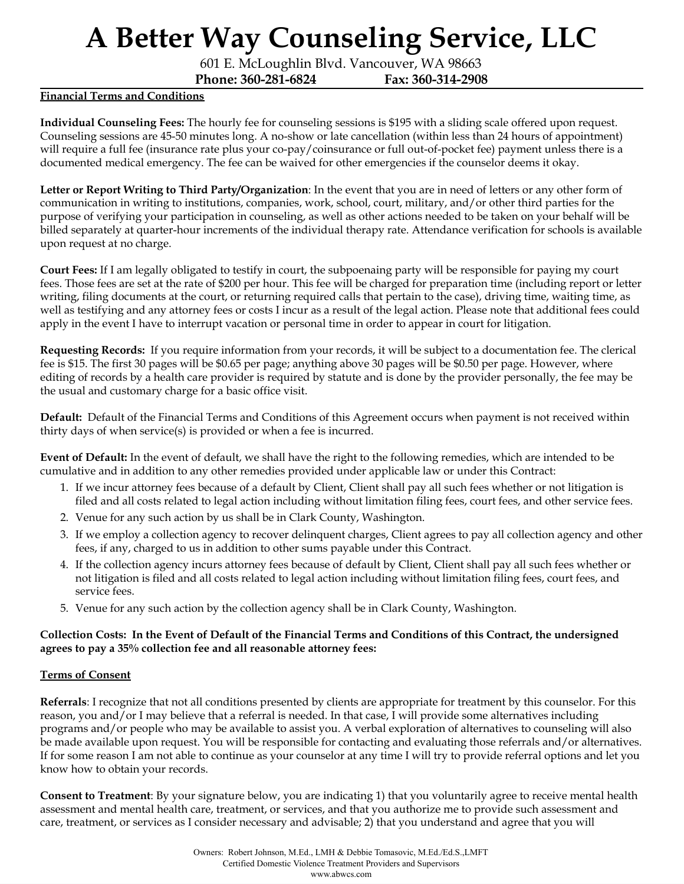601 E. McLoughlin Blvd. Vancouver, WA 98663

**Phone: 360-281-6824 Fax: 360-314-2908**

#### **Financial Terms and Conditions**

**Individual Counseling Fees:** The hourly fee for counseling sessions is \$195 with a sliding scale offered upon request. Counseling sessions are 45-50 minutes long. A no-show or late cancellation (within less than 24 hours of appointment) will require a full fee (insurance rate plus your co-pay/coinsurance or full out-of-pocket fee) payment unless there is a documented medical emergency. The fee can be waived for other emergencies if the counselor deems it okay.

**Letter or Report Writing to Third Party/Organization**: In the event that you are in need of letters or any other form of communication in writing to institutions, companies, work, school, court, military, and/or other third parties for the purpose of verifying your participation in counseling, as well as other actions needed to be taken on your behalf will be billed separately at quarter-hour increments of the individual therapy rate. Attendance verification for schools is available upon request at no charge.

**Court Fees:** If I am legally obligated to testify in court, the subpoenaing party will be responsible for paying my court fees. Those fees are set at the rate of \$200 per hour. This fee will be charged for preparation time (including report or letter writing, filing documents at the court, or returning required calls that pertain to the case), driving time, waiting time, as well as testifying and any attorney fees or costs I incur as a result of the legal action. Please note that additional fees could apply in the event I have to interrupt vacation or personal time in order to appear in court for litigation.

**Requesting Records:** If you require information from your records, it will be subject to a documentation fee. The clerical fee is \$15. The first 30 pages will be \$0.65 per page; anything above 30 pages will be \$0.50 per page. However, where editing of records by a health care provider is required by statute and is done by the provider personally, the fee may be the usual and customary charge for a basic office visit.

**Default:** Default of the Financial Terms and Conditions of this Agreement occurs when payment is not received within thirty days of when service(s) is provided or when a fee is incurred.

**Event of Default:** In the event of default, we shall have the right to the following remedies, which are intended to be cumulative and in addition to any other remedies provided under applicable law or under this Contract:

- 1. If we incur attorney fees because of a default by Client, Client shall pay all such fees whether or not litigation is filed and all costs related to legal action including without limitation filing fees, court fees, and other service fees.
- 2. Venue for any such action by us shall be in Clark County, Washington.
- 3. If we employ a collection agency to recover delinquent charges, Client agrees to pay all collection agency and other fees, if any, charged to us in addition to other sums payable under this Contract.
- 4. If the collection agency incurs attorney fees because of default by Client, Client shall pay all such fees whether or not litigation is filed and all costs related to legal action including without limitation filing fees, court fees, and service fees.
- 5. Venue for any such action by the collection agency shall be in Clark County, Washington.

### Collection Costs: In the Event of Default of the Financial Terms and Conditions of this Contract, the undersigned **agrees to pay a 35% collection fee and all reasonable attorney fees:**

### **Terms of Consent**

**Referrals**: I recognize that not all conditions presented by clients are appropriate for treatment by this counselor. For this reason, you and/or I may believe that a referral is needed. In that case, I will provide some alternatives including programs and/or people who may be available to assist you. A verbal exploration of alternatives to counseling will also be made available upon request. You will be responsible for contacting and evaluating those referrals and/or alternatives. If for some reason I am not able to continue as your counselor at any time I will try to provide referral options and let you know how to obtain your records.

**Consent to Treatment**: By your signature below, you are indicating 1) that you voluntarily agree to receive mental health assessment and mental health care, treatment, or services, and that you authorize me to provide such assessment and care, treatment, or services as I consider necessary and advisable; 2) that you understand and agree that you will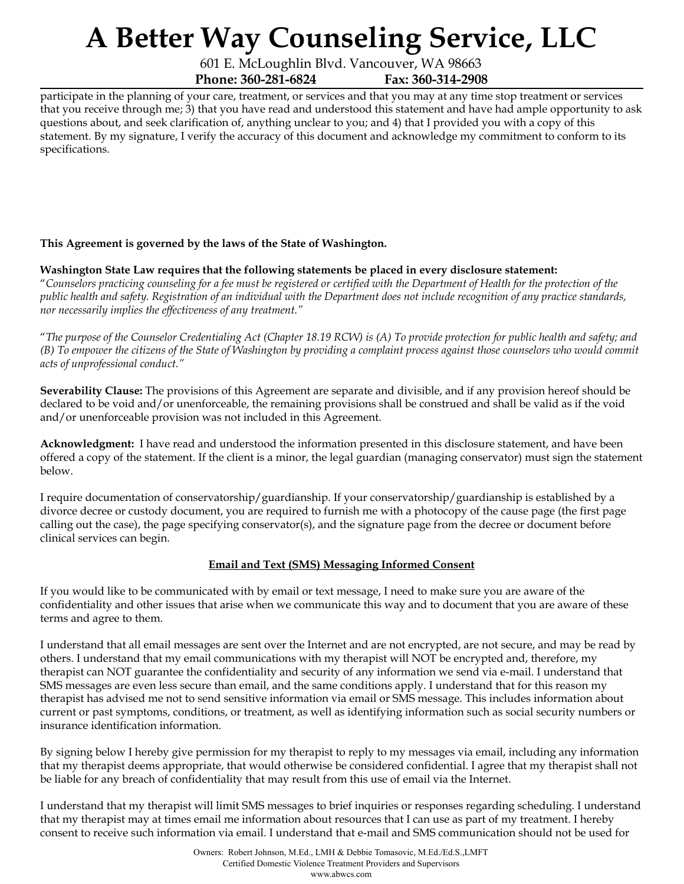601 E. McLoughlin Blvd. Vancouver, WA 98663 **Phone: 360-281-6824 Fax: 360-314-2908**

participate in the planning of your care, treatment, or services and that you may at any time stop treatment or services that you receive through me; 3) that you have read and understood this statement and have had ample opportunity to ask questions about, and seek clarification of, anything unclear to you; and 4) that I provided you with a copy of this statement. By my signature, I verify the accuracy of this document and acknowledge my commitment to conform to its specifications.

### **This Agreement is governed by the laws of the State of Washington.**

### **Washington State Law requires that the following statements be placed in every disclosure statement:**

"Counselors practicing counseling for a fee must be registered or certified with the Department of Health for the protection of the public health and safety. Registration of an individual with the Department does not include recognition of any practice standards, *nor necessarily implies the ef ectiveness of any treatment."*

"The purpose of the Counselor Credentialing Act (Chapter 18.19 RCW) is (A) To provide protection for public health and safety; and (B) To empower the citizens of the State of Washington by providing a complaint process against those counselors who would commit *acts of unprofessional conduct."*

**Severability Clause:** The provisions of this Agreement are separate and divisible, and if any provision hereof should be declared to be void and/or unenforceable, the remaining provisions shall be construed and shall be valid as if the void and/or unenforceable provision was not included in this Agreement.

**Acknowledgment:** I have read and understood the information presented in this disclosure statement, and have been offered a copy of the statement. If the client is a minor, the legal guardian (managing conservator) must sign the statement below.

I require documentation of conservatorship/guardianship. If your conservatorship/guardianship is established by a divorce decree or custody document, you are required to furnish me with a photocopy of the cause page (the first page calling out the case), the page specifying conservator(s), and the signature page from the decree or document before clinical services can begin.

### **Email and Text (SMS) Messaging Informed Consent**

If you would like to be communicated with by email or text message, I need to make sure you are aware of the confidentiality and other issues that arise when we communicate this way and to document that you are aware of these terms and agree to them.

I understand that all email messages are sent over the Internet and are not encrypted, are not secure, and may be read by others. I understand that my email communications with my therapist will NOT be encrypted and, therefore, my therapist can NOT guarantee the confidentiality and security of any information we send via e-mail. I understand that SMS messages are even less secure than email, and the same conditions apply. I understand that for this reason my therapist has advised me not to send sensitive information via email or SMS message. This includes information about current or past symptoms, conditions, or treatment, as well as identifying information such as social security numbers or insurance identification information.

By signing below I hereby give permission for my therapist to reply to my messages via email, including any information that my therapist deems appropriate, that would otherwise be considered confidential. I agree that my therapist shall not be liable for any breach of confidentiality that may result from this use of email via the Internet.

I understand that my therapist will limit SMS messages to brief inquiries or responses regarding scheduling. I understand that my therapist may at times email me information about resources that I can use as part of my treatment. I hereby consent to receive such information via email. I understand that e-mail and SMS communication should not be used for